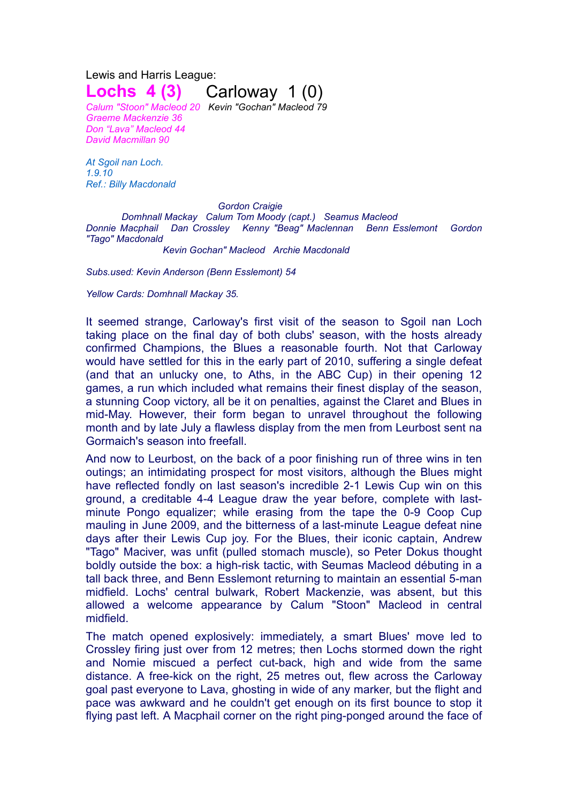Lewis and Harris League: **Lochs 4 (3)** Carloway 1 (0)

*Calum "Stoon" Macleod 20 Kevin "Gochan" Macleod 79 Graeme Mackenzie 36 Don "Lava" Macleod 44 David Macmillan 90*

*At Sgoil nan Loch. 1.9.10 Ref.: Billy Macdonald*

*Gordon Craigie Domhnall Mackay Calum Tom Moody (capt.) Seamus Macleod Donnie Macphail Dan Crossley Kenny "Beag" Maclennan Benn Esslemont Gordon "Tago" Macdonald Kevin Gochan" Macleod Archie Macdonald*

*Subs.used: Kevin Anderson (Benn Esslemont) 54*

*Yellow Cards: Domhnall Mackay 35.*

It seemed strange, Carloway's first visit of the season to Sgoil nan Loch taking place on the final day of both clubs' season, with the hosts already confirmed Champions, the Blues a reasonable fourth. Not that Carloway would have settled for this in the early part of 2010, suffering a single defeat (and that an unlucky one, to Aths, in the ABC Cup) in their opening 12 games, a run which included what remains their finest display of the season, a stunning Coop victory, all be it on penalties, against the Claret and Blues in mid-May. However, their form began to unravel throughout the following month and by late July a flawless display from the men from Leurbost sent na Gormaich's season into freefall.

And now to Leurbost, on the back of a poor finishing run of three wins in ten outings; an intimidating prospect for most visitors, although the Blues might have reflected fondly on last season's incredible 2-1 Lewis Cup win on this ground, a creditable 4-4 League draw the year before, complete with lastminute Pongo equalizer; while erasing from the tape the 0-9 Coop Cup mauling in June 2009, and the bitterness of a last-minute League defeat nine days after their Lewis Cup joy. For the Blues, their iconic captain, Andrew "Tago" Maciver, was unfit (pulled stomach muscle), so Peter Dokus thought boldly outside the box: a high-risk tactic, with Seumas Macleod débuting in a tall back three, and Benn Esslemont returning to maintain an essential 5-man midfield. Lochs' central bulwark, Robert Mackenzie, was absent, but this allowed a welcome appearance by Calum "Stoon" Macleod in central midfield.

The match opened explosively: immediately, a smart Blues' move led to Crossley firing just over from 12 metres; then Lochs stormed down the right and Nomie miscued a perfect cut-back, high and wide from the same distance. A free-kick on the right, 25 metres out, flew across the Carloway goal past everyone to Lava, ghosting in wide of any marker, but the flight and pace was awkward and he couldn't get enough on its first bounce to stop it flying past left. A Macphail corner on the right ping-ponged around the face of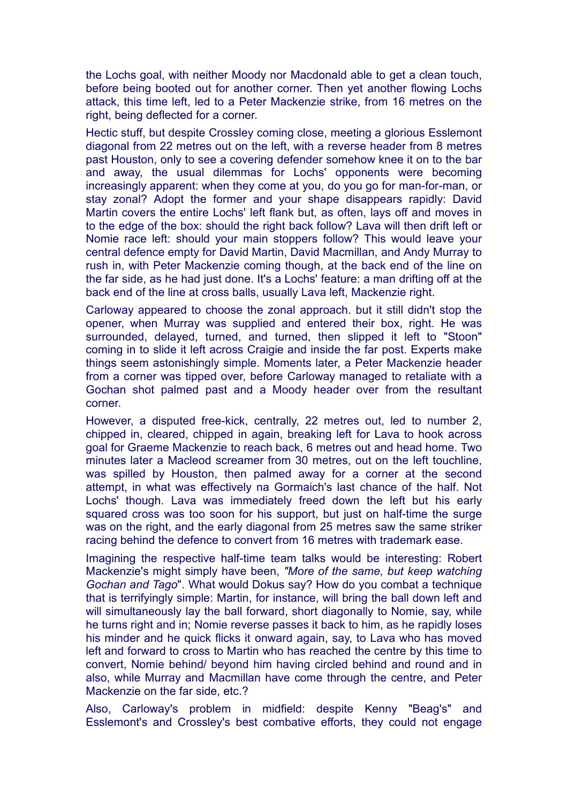the Lochs goal, with neither Moody nor Macdonald able to get a clean touch, before being booted out for another corner. Then yet another flowing Lochs attack, this time left, led to a Peter Mackenzie strike, from 16 metres on the right, being deflected for a corner.

Hectic stuff, but despite Crossley coming close, meeting a glorious Esslemont diagonal from 22 metres out on the left, with a reverse header from 8 metres past Houston, only to see a covering defender somehow knee it on to the bar and away, the usual dilemmas for Lochs' opponents were becoming increasingly apparent: when they come at you, do you go for man-for-man, or stay zonal? Adopt the former and your shape disappears rapidly: David Martin covers the entire Lochs' left flank but, as often, lays off and moves in to the edge of the box: should the right back follow? Lava will then drift left or Nomie race left: should your main stoppers follow? This would leave your central defence empty for David Martin, David Macmillan, and Andy Murray to rush in, with Peter Mackenzie coming though, at the back end of the line on the far side, as he had just done. It's a Lochs' feature: a man drifting off at the back end of the line at cross balls, usually Lava left, Mackenzie right.

Carloway appeared to choose the zonal approach. but it still didn't stop the opener, when Murray was supplied and entered their box, right. He was surrounded, delayed, turned, and turned, then slipped it left to "Stoon" coming in to slide it left across Craigie and inside the far post. Experts make things seem astonishingly simple. Moments later, a Peter Mackenzie header from a corner was tipped over, before Carloway managed to retaliate with a Gochan shot palmed past and a Moody header over from the resultant corner.

However, a disputed free-kick, centrally, 22 metres out, led to number 2, chipped in, cleared, chipped in again, breaking left for Lava to hook across goal for Graeme Mackenzie to reach back, 6 metres out and head home. Two minutes later a Macleod screamer from 30 metres, out on the left touchline, was spilled by Houston, then palmed away for a corner at the second attempt, in what was effectively na Gormaich's last chance of the half. Not Lochs' though. Lava was immediately freed down the left but his early squared cross was too soon for his support, but just on half-time the surge was on the right, and the early diagonal from 25 metres saw the same striker racing behind the defence to convert from 16 metres with trademark ease.

Imagining the respective half-time team talks would be interesting: Robert Mackenzie's might simply have been, *"More of the same, but keep watching Gochan and Tago*". What would Dokus say? How do you combat a technique that is terrifyingly simple: Martin, for instance, will bring the ball down left and will simultaneously lay the ball forward, short diagonally to Nomie, say, while he turns right and in; Nomie reverse passes it back to him, as he rapidly loses his minder and he quick flicks it onward again, say, to Lava who has moved left and forward to cross to Martin who has reached the centre by this time to convert, Nomie behind/ beyond him having circled behind and round and in also, while Murray and Macmillan have come through the centre, and Peter Mackenzie on the far side, etc.?

Also, Carloway's problem in midfield: despite Kenny "Beag's" and Esslemont's and Crossley's best combative efforts, they could not engage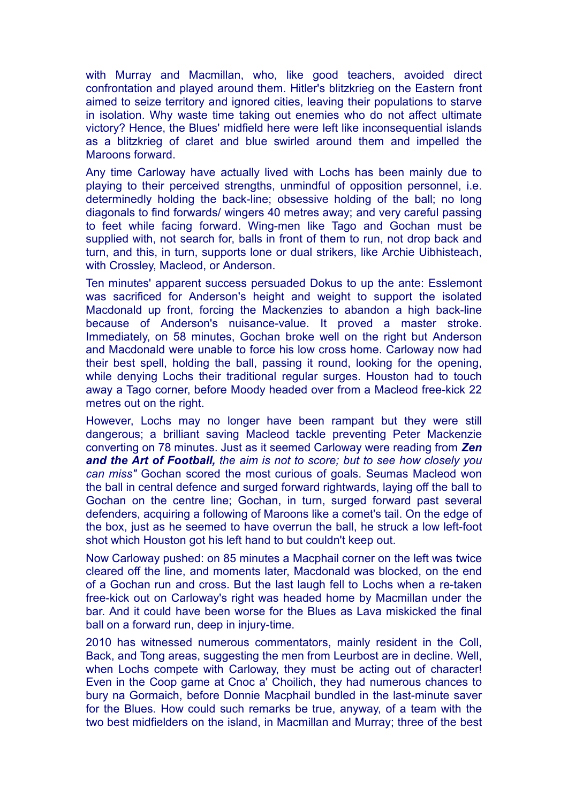with Murray and Macmillan, who, like good teachers, avoided direct confrontation and played around them. Hitler's blitzkrieg on the Eastern front aimed to seize territory and ignored cities, leaving their populations to starve in isolation. Why waste time taking out enemies who do not affect ultimate victory? Hence, the Blues' midfield here were left like inconsequential islands as a blitzkrieg of claret and blue swirled around them and impelled the Maroons forward.

Any time Carloway have actually lived with Lochs has been mainly due to playing to their perceived strengths, unmindful of opposition personnel, i.e. determinedly holding the back-line; obsessive holding of the ball; no long diagonals to find forwards/ wingers 40 metres away; and very careful passing to feet while facing forward. Wing-men like Tago and Gochan must be supplied with, not search for, balls in front of them to run, not drop back and turn, and this, in turn, supports lone or dual strikers, like Archie Uibhisteach, with Crossley, Macleod, or Anderson.

Ten minutes' apparent success persuaded Dokus to up the ante: Esslemont was sacrificed for Anderson's height and weight to support the isolated Macdonald up front, forcing the Mackenzies to abandon a high back-line because of Anderson's nuisance-value. It proved a master stroke. Immediately, on 58 minutes, Gochan broke well on the right but Anderson and Macdonald were unable to force his low cross home. Carloway now had their best spell, holding the ball, passing it round, looking for the opening, while denying Lochs their traditional regular surges. Houston had to touch away a Tago corner, before Moody headed over from a Macleod free-kick 22 metres out on the right.

However, Lochs may no longer have been rampant but they were still dangerous; a brilliant saving Macleod tackle preventing Peter Mackenzie converting on 78 minutes. Just as it seemed Carloway were reading from *Zen and the Art of Football, the aim is not to score; but to see how closely you can miss"* Gochan scored the most curious of goals. Seumas Macleod won the ball in central defence and surged forward rightwards, laying off the ball to Gochan on the centre line; Gochan, in turn, surged forward past several defenders, acquiring a following of Maroons like a comet's tail. On the edge of the box, just as he seemed to have overrun the ball, he struck a low left-foot shot which Houston got his left hand to but couldn't keep out.

Now Carloway pushed: on 85 minutes a Macphail corner on the left was twice cleared off the line, and moments later, Macdonald was blocked, on the end of a Gochan run and cross. But the last laugh fell to Lochs when a re-taken free-kick out on Carloway's right was headed home by Macmillan under the bar. And it could have been worse for the Blues as Lava miskicked the final ball on a forward run, deep in injury-time.

2010 has witnessed numerous commentators, mainly resident in the Coll, Back, and Tong areas, suggesting the men from Leurbost are in decline. Well, when Lochs compete with Carloway, they must be acting out of character! Even in the Coop game at Cnoc a' Choilich, they had numerous chances to bury na Gormaich, before Donnie Macphail bundled in the last-minute saver for the Blues. How could such remarks be true, anyway, of a team with the two best midfielders on the island, in Macmillan and Murray; three of the best